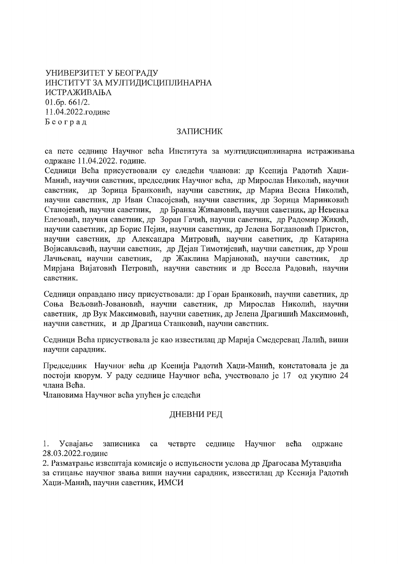# УНИВЕРЗИТЕТ У БЕОГРАДУ ИНСТИТУТ ЗА МУЛТИДИСЦИПЛИНАРНА ИСТРАЖИВАЊА  $01.6p.661/2.$ 11.04.2022.године Београд

## ЗАПИСНИК

са пете седнице Научног већа Института за мултидисциплинарна истраживања одржане 11.04.2022. године.

Седници Већа присуствовали су следећи чланови: др Ксенија Радотић Хаџи-Манић, научни саветник, председник Научног већа, др Мирослав Николић, научни саветник, др Зорица Бранковић, научни саветник, др Мариа Весна Николић, научни саветник, др Иван Спасојевић, научни саветник, др Зорица Маринковић Станојевић, научни саветник, др Бранка Живановић, научни саветник, др Невенка Елезовић, научни саветник, др Зоран Гачић, научни саветник, др Радомир Жикић. научни саветник, др Борис Пејин, научни саветник, др Јелена Богдановић Пристов, научни саветник, др Александра Митровић, научни саветник, др Катарина Војисављевић, научни саветник, др Дејан Тимотијевић, научни саветник, др Урош др Жаклина Марјановић, научни саветник, Лачњевац, научни саветник, др Мирјана Вијатовић Петровић, научни саветник и др Весела Радовић, научни саветник.

Седници оправдано нису присуствовали: др Горан Бранковић, научни саветник, др Соња Вељовић-Јовановић, научни саветник, др Мирослав Николић, научни саветник, др Вук Максимовић, научни саветник, др Јелена Драгишић Максимовић, научни саветник, и др Драгица Станковић, научни саветник.

Седници Већа присуствовала је као известилац др Марија Смедеревац Лалић, виши научни сарадник.

Председник Научног већа др Ксенија Радотић Хаџи-Манић, констатовала је да постоји кворум. У раду седнице Научног већа, учествовало је 17 од укупно 24 члана Већа.

Члановима Научног већа упућен је следећи

## ДНЕВНИ РЕД

 $1.$ Усвајање записника четврте седнице Научног већа ca одржане 28.03.2022.године

2. Разматрање извештаја комисије о испуњености услова др Драгосава Мутавџића за стицање научног звања виши научни сарадник, известилац др Ксенија Радотић Хаџи-Манић, научни саветник, ИМСИ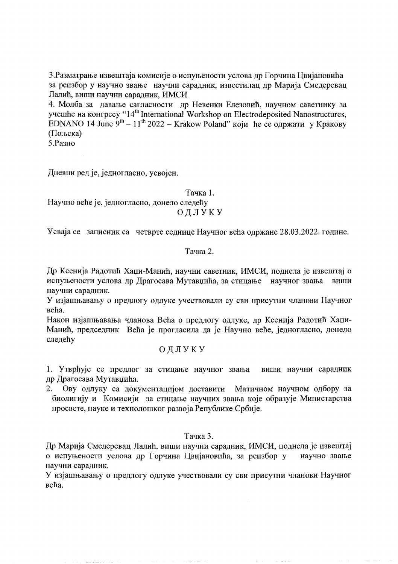3. Разматрање извештаја комисије о испуњености услова др Горчина Цвијановића за реизбор у научно звање научни сарадник, известилац др Марија Смедеревац Лалић, виши научни сарадник, ИМСИ

4. Молба за давање сагласности др Невенки Елезовић, научном саветнику за учешће на конгресу "14<sup>th</sup> International Workshop on Electrodeposited Nanostructures, EDNANO 14 June  $9^{th} - 11^{th}$  2022 – Krakow Poland" који ће се одржати у Кракову (Пољска)

5. Разно

Дневни ред је, једногласно, усвојен,

Тачка 1.

Научно веће је, једногласно, донело следећу ОДЛУКУ

Усваја се записник са четврте седнице Научног већа одржане 28.03.2022. године.

#### Тачка 2.

Др Ксенија Радотић Хаџи-Манић, научни саветник, ИМСИ, поднела је извештај о испуњености услова др Драгосава Мутавџића, за стицање научног звања виши научни сарадник.

У изјашњавању о предлогу одлуке учествовали су сви присутни чланови Научног већа.

Након изјашњавања чланова Већа о предлогу одлуке, др Ксенија Радотић Хаџи-Манић, председник Већа је прогласила да је Научно веће, једногласно, донело следећу

## ОДЛУКУ

1. Утврђује се предлог за стицање научног звања виши научни сарадник др Драгосава Мутавцића.

2. Ову одлуку са документацијом доставити Матичном научном одбору за биолигију и Комисији за стицање научних звања које образује Министарства просвете, науке и технолошког развоја Републике Србије.

## Тачка 3.

Др Марија Смедеревац Лалић, виши научни сарадник, ИМСИ, поднела је извештај о испуњености услова др Горчина Цвијановића, за реизбор у научно звање научни сарадник.

У изјашњавању о предлогу одлуке учествовали су сви присутни чланови Научног већа.